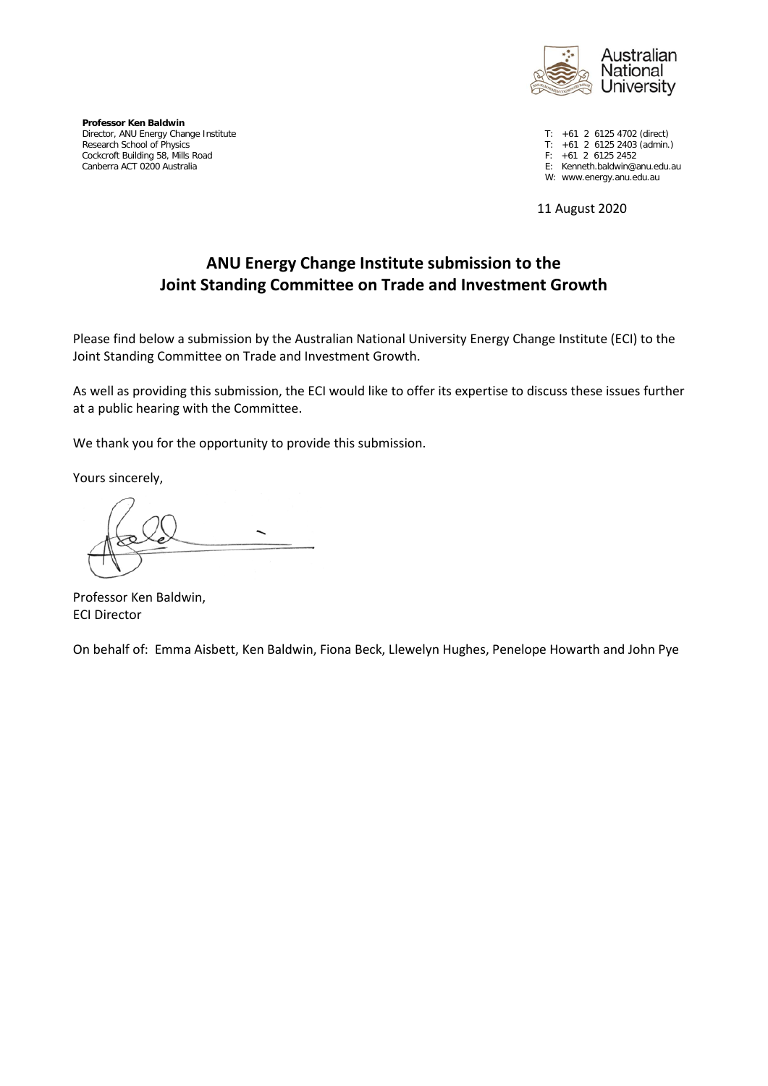

**Professor Ken Baldwin** Director, ANU Energy Change Institute T: +61 2 6125 4702 (direct)<br>
Research School of Physics T: +61 2 6125 2403 (admin. Cockcroft Building 58, Mills Road<br>Canberra ACT 0200 Australia

T:  $+61$  2 6125 2403 (admin.)<br>F:  $+61$  2 6125 2452

E: Kenneth.baldwin@anu.edu.au

W: www.energy.anu.edu.au

11 August 2020

# **ANU Energy Change Institute submission to the Joint Standing Committee on Trade and Investment Growth**

Please find below a submission by the Australian National University Energy Change Institute (ECI) to the Joint Standing Committee on Trade and Investment Growth.

As well as providing this submission, the ECI would like to offer its expertise to discuss these issues further at a public hearing with the Committee.

We thank you for the opportunity to provide this submission.

Yours sincerely,

Professor Ken Baldwin, ECI Director

On behalf of: Emma Aisbett, Ken Baldwin, Fiona Beck, Llewelyn Hughes, Penelope Howarth and John Pye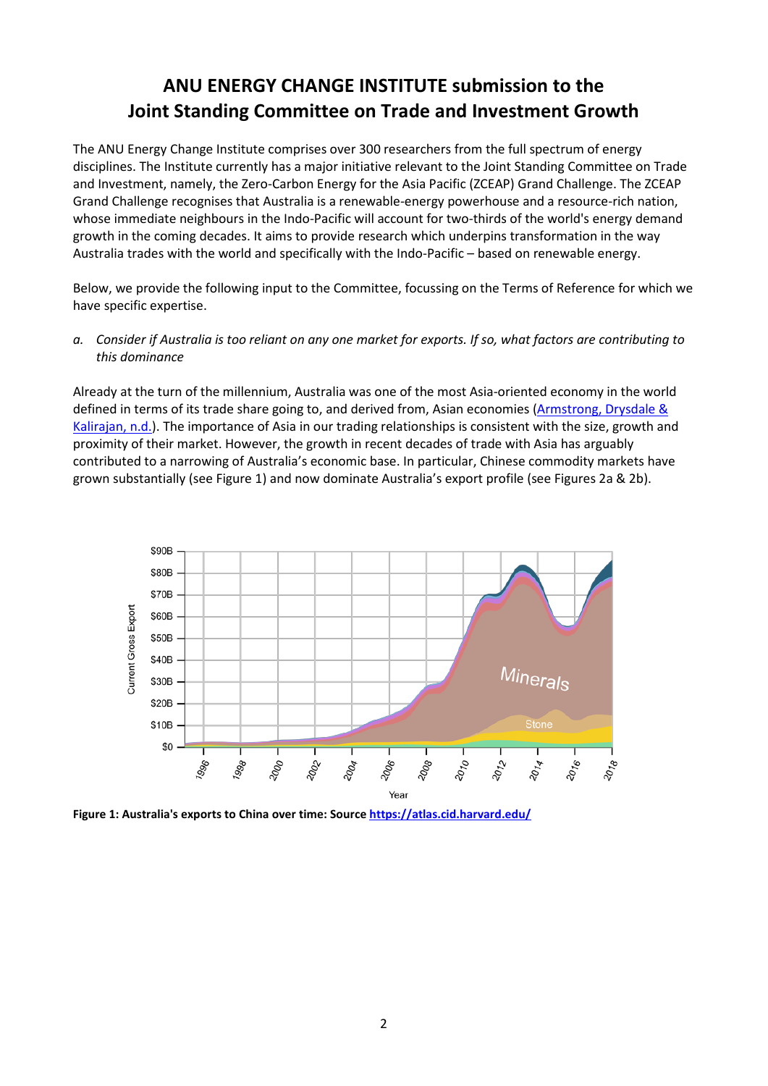# **ANU ENERGY CHANGE INSTITUTE submission to the Joint Standing Committee on Trade and Investment Growth**

The ANU Energy Change Institute comprises over 300 researchers from the full spectrum of energy disciplines. The Institute currently has a major initiative relevant to the Joint Standing Committee on Trade and Investment, namely, the Zero-Carbon Energy for the Asia Pacific (ZCEAP) Grand Challenge. The ZCEAP Grand Challenge recognises that Australia is a renewable-energy powerhouse and a resource-rich nation, whose immediate neighbours in the Indo-Pacific will account for two-thirds of the world's energy demand growth in the coming decades. It aims to provide research which underpins transformation in the way Australia trades with the world and specifically with the Indo-Pacific – based on renewable energy.

Below, we provide the following input to the Committee, focussing on the Terms of Reference for which we have specific expertise.

*a. Consider if Australia is too reliant on any one market for exports. If so, what factors are contributing to this dominance*

Already at the turn of the millennium, Australia was one of the most Asia-oriented economy in the world defined in terms of its trade share going to, and derived from, Asian economies (Armstrong, Drysdale & [Kalirajan, n.d.\)](https://crawford.anu.edu.au/pdf/phd/armstrong/s3p1.pdf). The importance of Asia in our trading relationships is consistent with the size, growth and proximity of their market. However, the growth in recent decades of trade with Asia has arguably contributed to a narrowing of Australia's economic base. In particular, Chinese commodity markets have grown substantially (see Figure 1) and now dominate Australia's export profile (see Figures 2a & 2b).



**Figure 1: Australia's exports to China over time: Sourc[e https://atlas.cid.harvard.edu/](https://atlas.cid.harvard.edu/)**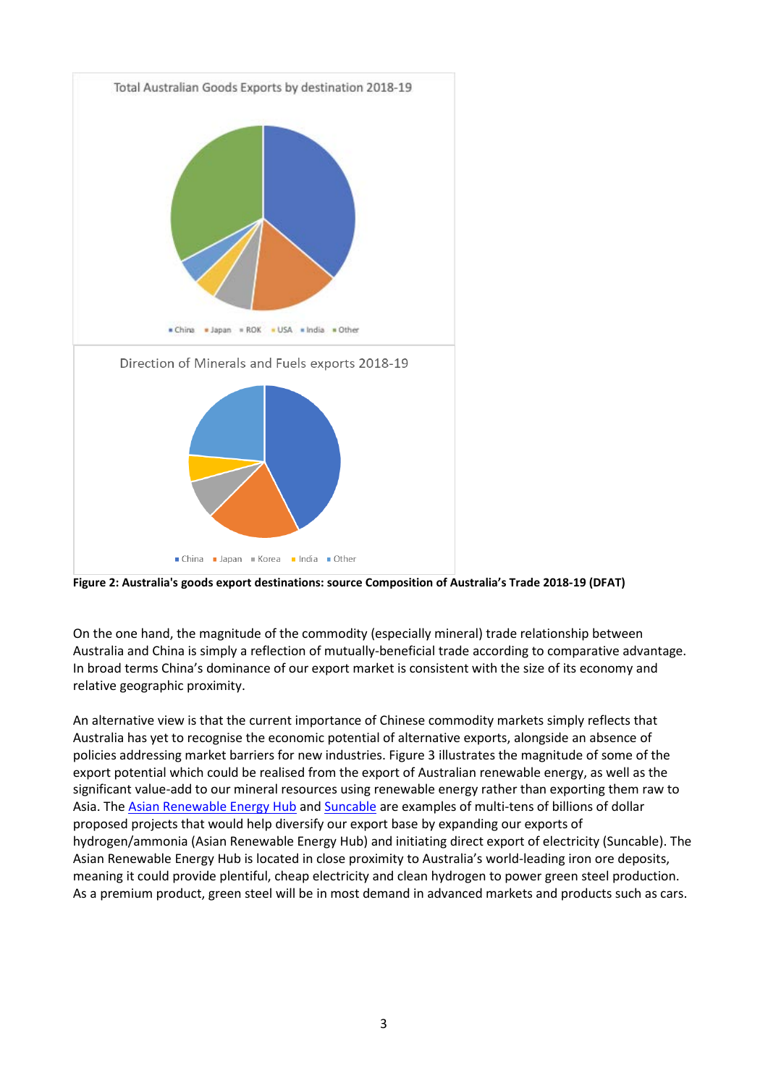

**Figure 2: Australia's goods export destinations: source Composition of Australia's Trade 2018-19 (DFAT)**

On the one hand, the magnitude of the commodity (especially mineral) trade relationship between Australia and China is simply a reflection of mutually-beneficial trade according to comparative advantage. In broad terms China's dominance of our export market is consistent with the size of its economy and relative geographic proximity.

An alternative view is that the current importance of Chinese commodity markets simply reflects that Australia has yet to recognise the economic potential of alternative exports, alongside an absence of policies addressing market barriers for new industries. Figure 3 illustrates the magnitude of some of the export potential which could be realised from the export of Australian renewable energy, as well as the significant value-add to our mineral resources using renewable energy rather than exporting them raw to Asia. Th[e Asian Renewable Energy Hub](https://asianrehub.com/) an[d Suncable](https://www.suncable.sg/) are examples of multi-tens of billions of dollar proposed projects that would help diversify our export base by expanding our exports of hydrogen/ammonia (Asian Renewable Energy Hub) and initiating direct export of electricity (Suncable). The Asian Renewable Energy Hub is located in close proximity to Australia's world-leading iron ore deposits, meaning it could provide plentiful, cheap electricity and clean hydrogen to power green steel production. As a premium product, green steel will be in most demand in advanced markets and products such as cars.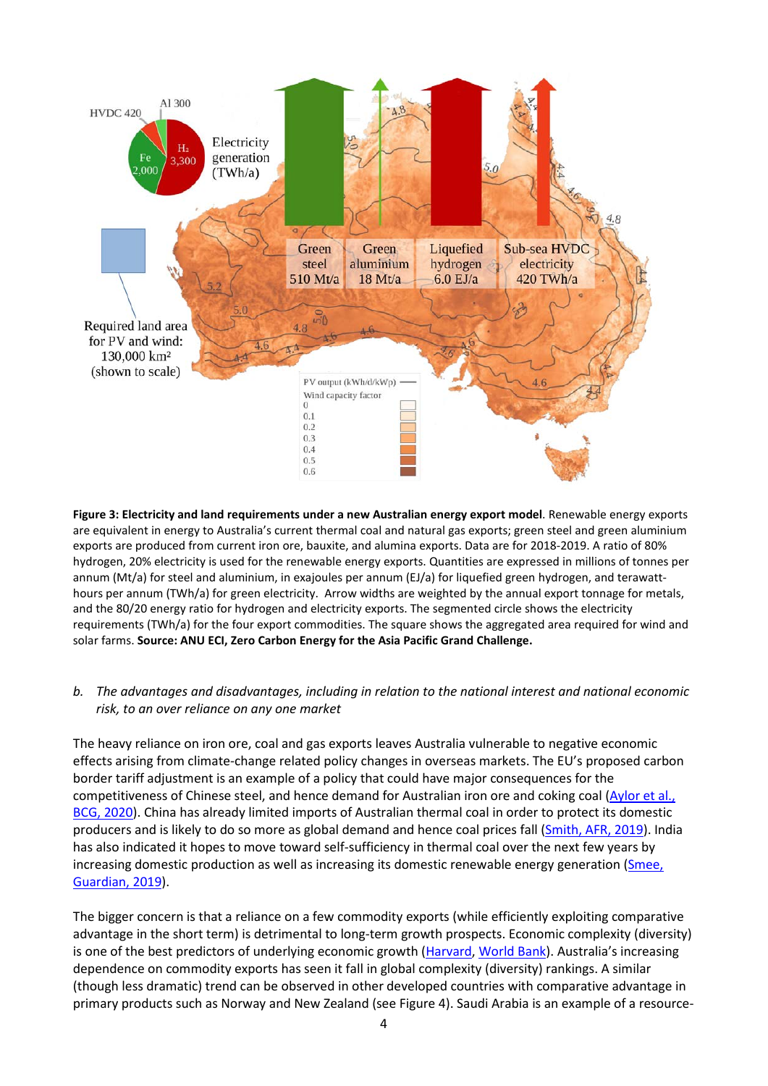

**Figure 3: Electricity and land requirements under a new Australian energy export model**. Renewable energy exports are equivalent in energy to Australia's current thermal coal and natural gas exports; green steel and green aluminium exports are produced from current iron ore, bauxite, and alumina exports. Data are for 2018-2019. A ratio of 80% hydrogen, 20% electricity is used for the renewable energy exports. Quantities are expressed in millions of tonnes per annum (Mt/a) for steel and aluminium, in exajoules per annum (EJ/a) for liquefied green hydrogen, and terawatthours per annum (TWh/a) for green electricity. Arrow widths are weighted by the annual export tonnage for metals, and the 80/20 energy ratio for hydrogen and electricity exports. The segmented circle shows the electricity requirements (TWh/a) for the four export commodities. The square shows the aggregated area required for wind and solar farms. **Source: ANU ECI, Zero Carbon Energy for the Asia Pacific Grand Challenge.** 

## *b. The advantages and disadvantages, including in relation to the national interest and national economic risk, to an over reliance on any one market*

The heavy reliance on iron ore, coal and gas exports leaves Australia vulnerable to negative economic effects arising from climate-change related policy changes in overseas markets. The EU's proposed carbon border tariff adjustment is an example of a policy that could have major consequences for the competitiveness of Chinese steel, and hence demand for Australian iron ore and coking coal [\(Aylor et al.,](https://www.bcg.com/en-au/publications/2020/how-an-eu-carbon-border-tax-could-jolt-world-trade)  [BCG, 2020\)](https://www.bcg.com/en-au/publications/2020/how-an-eu-carbon-border-tax-could-jolt-world-trade). China has already limited imports of Australian thermal coal in order to protect its domestic producers and is likely to do so more as global demand and hence coal prices fall [\(Smith, AFR, 2019\)](https://www.afr.com/world/asia/china-to-extend-restrictions-on-australian-coal-say-analysts-20191029-p535e0). India has also indicated it hopes to move toward self-sufficiency in thermal coal over the next few years by increasing domestic production as well as increasing its domestic renewable energy generation (Smee, [Guardian, 2019\)](https://www.theguardian.com/environment/2019/aug/23/australian-thermal-coal-exporters-warned-of-falling-demand-from-india).

The bigger concern is that a reliance on a few commodity exports (while efficiently exploiting comparative advantage in the short term) is detrimental to long-term growth prospects. Economic complexity (diversity) is one of the best predictors of underlying economic growth (Harvard, [World Bank\)](https://wits.worldbank.org/wits/wits/witshelp/Content/Utilities/e1.trade_indicators.htm). Australia's increasing dependence on commodity exports has seen it fall in global complexity (diversity) rankings. A similar (though less dramatic) trend can be observed in other developed countries with comparative advantage in primary products such as Norway and New Zealand (see Figure 4). Saudi Arabia is an example of a resource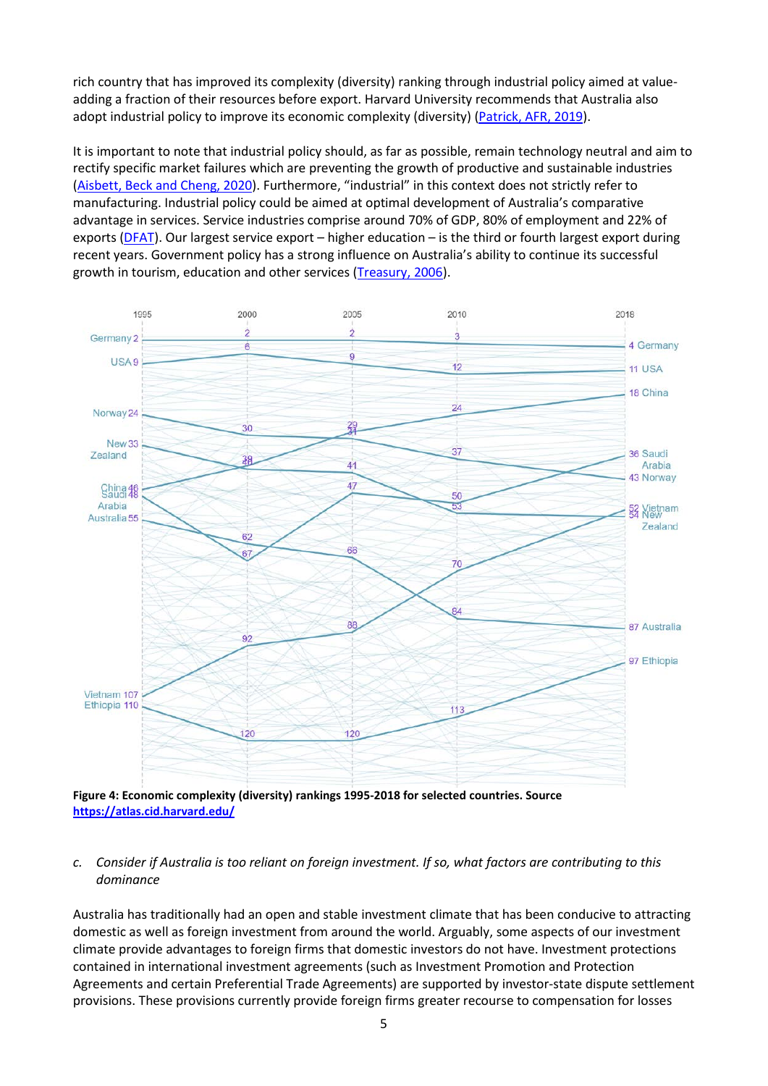rich country that has improved its complexity (diversity) ranking through industrial policy aimed at valueadding a fraction of their resources before export. Harvard University recommends that Australia also adopt industrial policy to improve its economic complexity (diversity) [\(Patrick, AFR, 2019\)](https://www.afr.com/policy/economy/australia-is-rich-dumb-and-getting-dumber-20191007-p52y8i).

It is important to note that industrial policy should, as far as possible, remain technology neutral and aim to rectify specific market failures which are preventing the growth of productive and sustainable industries [\(Aisbett, Beck and Cheng, 2020\)](http://regnet.anu.edu.au/news-events/podcasts/audio/7957/webinar-technology-neutrality-and-green-industrial-policy-odd-couple). Furthermore, "industrial" in this context does not strictly refer to manufacturing. Industrial policy could be aimed at optimal development of Australia's comparative advantage in services. Service industries comprise around 70% of GDP, 80% of employment and 22% of exports [\(DFAT\)](https://www.dfat.gov.au/trade/services-and-digital-trade/Pages/the-importance-of-services-trade-to-australia). Our largest service export – higher education – is the third or fourth largest export during recent years. Government policy has a strong influence on Australia's ability to continue its successful growth in tourism, education and other services (Treasury, 2006).



**Figure 4: Economic complexity (diversity) rankings 1995-2018 for selected countries. Source <https://atlas.cid.harvard.edu/>**

#### *c. Consider if Australia is too reliant on foreign investment. If so, what factors are contributing to this dominance*

Australia has traditionally had an open and stable investment climate that has been conducive to attracting domestic as well as foreign investment from around the world. Arguably, some aspects of our investment climate provide advantages to foreign firms that domestic investors do not have. Investment protections contained in international investment agreements (such as Investment Promotion and Protection Agreements and certain Preferential Trade Agreements) are supported by investor-state dispute settlement provisions. These provisions currently provide foreign firms greater recourse to compensation for losses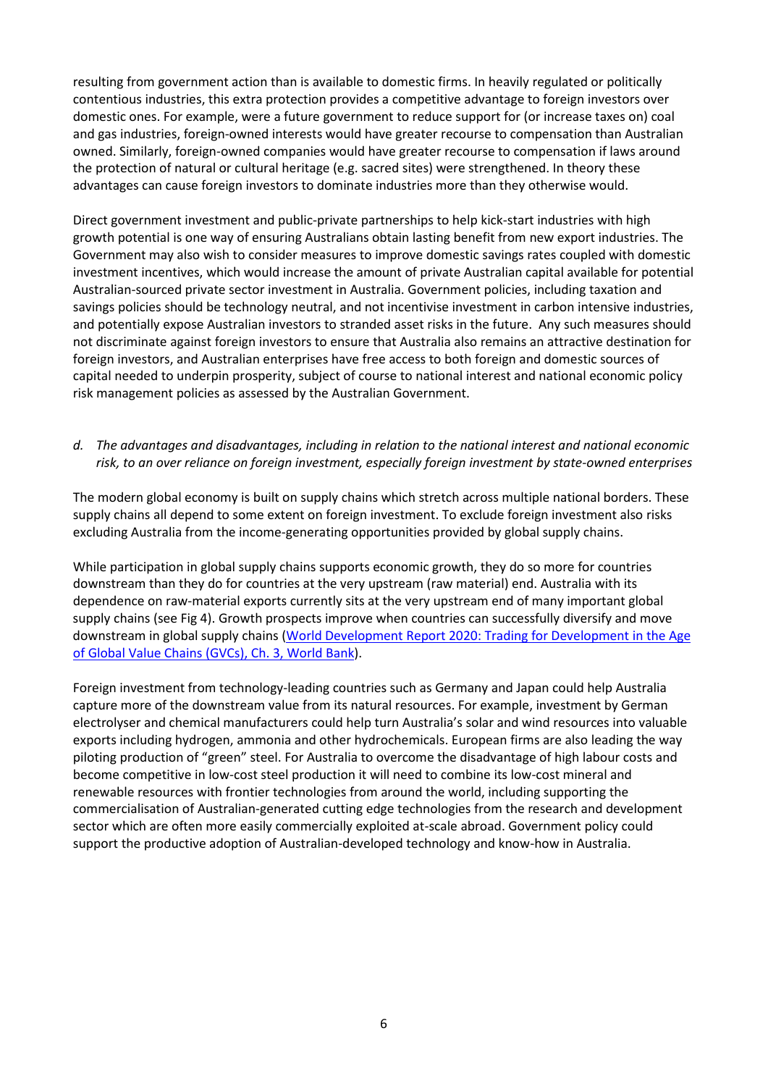resulting from government action than is available to domestic firms. In heavily regulated or politically contentious industries, this extra protection provides a competitive advantage to foreign investors over domestic ones. For example, were a future government to reduce support for (or increase taxes on) coal and gas industries, foreign-owned interests would have greater recourse to compensation than Australian owned. Similarly, foreign-owned companies would have greater recourse to compensation if laws around the protection of natural or cultural heritage (e.g. sacred sites) were strengthened. In theory these advantages can cause foreign investors to dominate industries more than they otherwise would.

Direct government investment and public-private partnerships to help kick-start industries with high growth potential is one way of ensuring Australians obtain lasting benefit from new export industries. The Government may also wish to consider measures to improve domestic savings rates coupled with domestic investment incentives, which would increase the amount of private Australian capital available for potential Australian-sourced private sector investment in Australia. Government policies, including taxation and savings policies should be technology neutral, and not incentivise investment in carbon intensive industries, and potentially expose Australian investors to stranded asset risks in the future. Any such measures should not discriminate against foreign investors to ensure that Australia also remains an attractive destination for foreign investors, and Australian enterprises have free access to both foreign and domestic sources of capital needed to underpin prosperity, subject of course to national interest and national economic policy risk management policies as assessed by the Australian Government.

# *d. The advantages and disadvantages, including in relation to the national interest and national economic risk, to an over reliance on foreign investment, especially foreign investment by state-owned enterprises*

The modern global economy is built on supply chains which stretch across multiple national borders. These supply chains all depend to some extent on foreign investment. To exclude foreign investment also risks excluding Australia from the income-generating opportunities provided by global supply chains.

While participation in global supply chains supports economic growth, they do so more for countries downstream than they do for countries at the very upstream (raw material) end. Australia with its dependence on raw-material exports currently sits at the very upstream end of many important global supply chains (see Fig 4). Growth prospects improve when countries can successfully diversify and move downstream in global supply chains [\(World Development Report 2020: Trading for Development in the Age](https://openknowledge.worldbank.org/bitstream/handle/10986/32437/9781464814570_Ch03.pdf?sequence=67&isAllowed=y)  [of Global Value Chains](https://openknowledge.worldbank.org/bitstream/handle/10986/32437/9781464814570_Ch03.pdf?sequence=67&isAllowed=y) (GVCs), Ch. 3, World Bank).

Foreign investment from technology-leading countries such as Germany and Japan could help Australia capture more of the downstream value from its natural resources. For example, investment by German electrolyser and chemical manufacturers could help turn Australia's solar and wind resources into valuable exports including hydrogen, ammonia and other hydrochemicals. European firms are also leading the way piloting production of "green" steel. For Australia to overcome the disadvantage of high labour costs and become competitive in low-cost steel production it will need to combine its low-cost mineral and renewable resources with frontier technologies from around the world, including supporting the commercialisation of Australian-generated cutting edge technologies from the research and development sector which are often more easily commercially exploited at-scale abroad. Government policy could support the productive adoption of Australian-developed technology and know-how in Australia.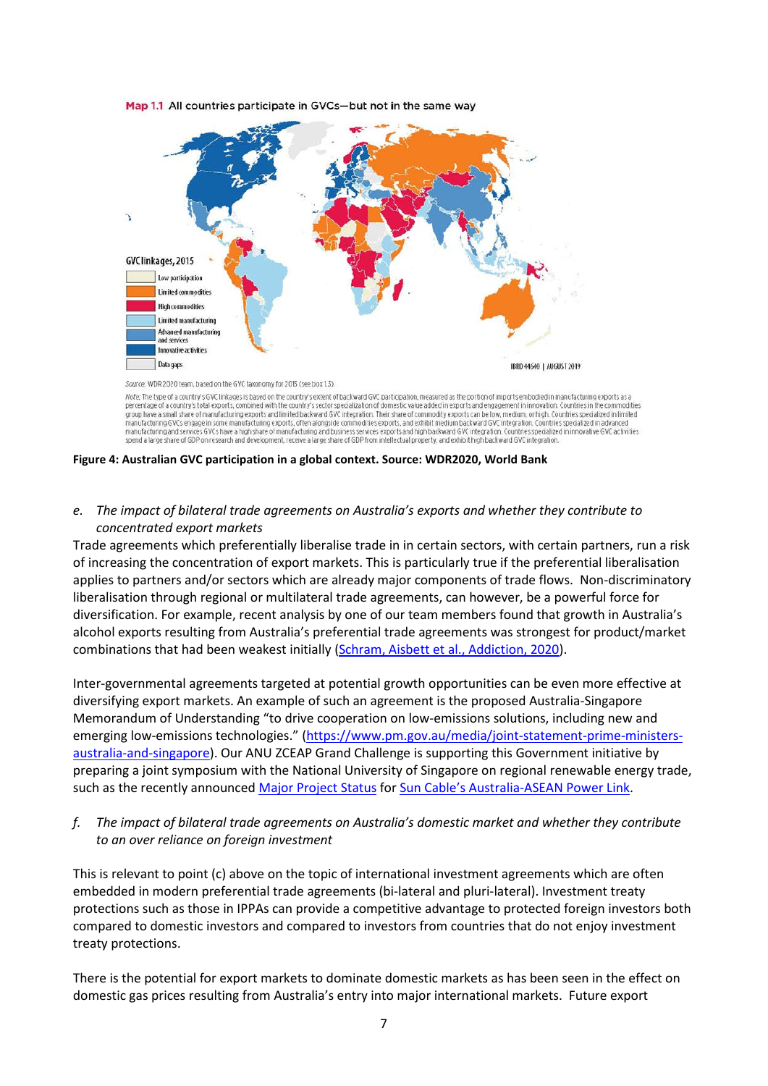

Map 1.1 All countries participate in GVCs-but not in the same way

Note: The type of a country's GVC linkages is based on the country's extent of backward GVC participation, measured as the portion of imports embodied in manufacturing exports as a percentage of a country's total exports, combined with the country's sector specialization of domestic value added in exports and engagement in innovation. Countries in the commodities<br>group have a small share of manufactu manufacturing GVCs engage in some manufacturing exports, often alongside commodities exports, and exhibit medium backward GVC integration. Countries specialized in advanced manufacturing and services GVCs have a high share spend a large share of GDP on research and development, receive a large share of GDP from intellectual property, and exhibit high backward GVC integration.

**Figure 4: Australian GVC participation in a global context. Source: WDR2020, World Bank**

#### *e. The impact of bilateral trade agreements on Australia's exports and whether they contribute to concentrated export markets*

Trade agreements which preferentially liberalise trade in in certain sectors, with certain partners, run a risk of increasing the concentration of export markets. This is particularly true if the preferential liberalisation applies to partners and/or sectors which are already major components of trade flows. Non-discriminatory liberalisation through regional or multilateral trade agreements, can however, be a powerful force for diversification. For example, recent analysis by one of our team members found that growth in Australia's alcohol exports resulting from Australia's preferential trade agreements was strongest for product/market combinations that had been weakest initially [\(Schram, Aisbett et al., Addiction, 2020\)](https://doi-org/10.1111/add.14925).

Inter-governmental agreements targeted at potential growth opportunities can be even more effective at diversifying export markets. An example of such an agreement is the proposed Australia-Singapore Memorandum of Understanding "to drive cooperation on low-emissions solutions, including new and emerging low-emissions technologies." [\(https://www.pm.gov.au/media/joint-statement-prime-ministers](https://www.pm.gov.au/media/joint-statement-prime-ministers-australia-and-singapore)[australia-and-singapore\)](https://www.pm.gov.au/media/joint-statement-prime-ministers-australia-and-singapore). Our ANU ZCEAP Grand Challenge is supporting this Government initiative by preparing a joint symposium with the National University of Singapore on regional renewable energy trade, such as the recently announce[d Major Project Status](https://www.minister.industry.gov.au/ministers/taylor/media-releases/22b-project-power-nt-singapore-given-major-status-boost) for [Sun Cable's Australia-ASEAN Power Link.](https://www.suncable.sg/)

#### *f. The impact of bilateral trade agreements on Australia's domestic market and whether they contribute to an over reliance on foreign investment*

This is relevant to point (c) above on the topic of international investment agreements which are often embedded in modern preferential trade agreements (bi-lateral and pluri-lateral). Investment treaty protections such as those in IPPAs can provide a competitive advantage to protected foreign investors both compared to domestic investors and compared to investors from countries that do not enjoy investment treaty protections.

There is the potential for export markets to dominate domestic markets as has been seen in the effect on domestic gas prices resulting from Australia's entry into major international markets. Future export